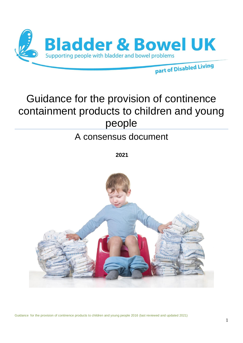

# Guidance for the provision of continence containment products to children and young people

# A consensus document

**2021**

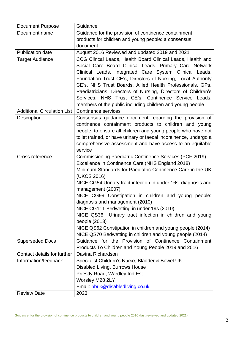| <b>Document Purpose</b>            | Guidance                                                                                                         |
|------------------------------------|------------------------------------------------------------------------------------------------------------------|
| Document name                      | Guidance for the provision of continence containment                                                             |
|                                    | products for children and young people: a consensus                                                              |
|                                    | document                                                                                                         |
| <b>Publication date</b>            | August 2016 Reviewed and updated 2019 and 2021                                                                   |
| <b>Target Audience</b>             | CCG Clincal Leads, Health Board Clinical Leads, Health and                                                       |
|                                    | Social Care Board Clinical Leads, Primary Care Network                                                           |
|                                    | Clinical Leads, Integrated Care System Clinical Leads,                                                           |
|                                    | Foundation Trust CE's, Directors of Nursing, Local Authority                                                     |
|                                    | CE's, NHS Trust Boards, Allied Health Professionals, GPs,                                                        |
|                                    | Paediatricians, Directors of Nursing, Directors of Children's                                                    |
|                                    | Services, NHS Trust CE's, Continence Service Leads,                                                              |
|                                    | members of the public including children and young people                                                        |
| <b>Additional Circulation List</b> | <b>Continence services</b>                                                                                       |
| Description                        | Consensus guidance document regarding the provision of                                                           |
|                                    | continence containment products to children and young                                                            |
|                                    | people, to ensure all children and young people who have not                                                     |
|                                    | toilet trained, or have urinary or faecal incontinence, undergo a                                                |
|                                    | comprehensive assessment and have access to an equitable                                                         |
|                                    | service                                                                                                          |
| Cross reference                    | <b>Commissioning Paediatric Continence Services (PCF 2019)</b>                                                   |
|                                    | Excellence in Continence Care (NHS England 2018)                                                                 |
|                                    | Minimum Standards for Paediatric Continence Care in the UK                                                       |
|                                    | (UKCS 2016)                                                                                                      |
|                                    | NICE CG54 Urinary tract infection in under 16s: diagnosis and                                                    |
|                                    | management (2007)                                                                                                |
|                                    | NICE CG99 Constipation in children and young people:                                                             |
|                                    | diagnosis and management (2010)                                                                                  |
|                                    | NICE CG111 Bedwetting in under 19s (2010)                                                                        |
|                                    | NICE QS36 Urinary tract infection in children and young                                                          |
|                                    | people (2013)                                                                                                    |
|                                    | NICE QS62 Constipation in children and young people (2014)                                                       |
|                                    | NICE QS70 Bedwetting in children and young people (2014)<br>Guidance for the Provision of Continence Containment |
| <b>Superseded Docs</b>             |                                                                                                                  |
| Contact details for further        | Products To Children and Young People 2019 and 2016<br>Davina Richardson                                         |
| Information/feedback               | Specialist Children's Nurse, Bladder & Bowel UK                                                                  |
|                                    |                                                                                                                  |
|                                    | Disabled Living, Burrows House<br>Priestly Road, Wardley Ind Est                                                 |
|                                    | Worsley M28 2LY                                                                                                  |
|                                    | Email: bbuk@disabledliving.co.uk                                                                                 |
|                                    |                                                                                                                  |
| <b>Review Date</b>                 | 2023                                                                                                             |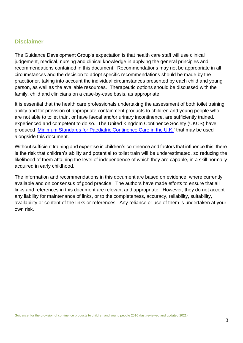## **Disclaimer**

The Guidance Development Group's expectation is that health care staff will use clinical judgement, medical, nursing and clinical knowledge in applying the general principles and recommendations contained in this document. Recommendations may not be appropriate in all circumstances and the decision to adopt specific recommendations should be made by the practitioner, taking into account the individual circumstances presented by each child and young person, as well as the available resources. Therapeutic options should be discussed with the family, child and clinicians on a case-by-case basis, as appropriate.

It is essential that the health care professionals undertaking the assessment of both toilet training ability and for provision of appropriate containment products to children and young people who are not able to toilet train, or have faecal and/or urinary incontinence, are sufficiently trained, experienced and competent to do so. The United Kingdom Continence Society (UKCS) have produced ['Minimum Standards for Paediatric Continence Care in the U.K.'](https://ukcs.uk.net/Policy_Documents) that may be used alongside this document.

Without sufficient training and expertise in children's continence and factors that influence this, there is the risk that children's ability and potential to toilet train will be underestimated, so reducing the likelihood of them attaining the level of independence of which they are capable, in a skill normally acquired in early childhood.

The information and recommendations in this document are based on evidence, where currently available and on consensus of good practice. The authors have made efforts to ensure that all links and references in this document are relevant and appropriate. However, they do not accept any liability for maintenance of links, or to the completeness, accuracy, reliability, suitability, availability or content of the links or references. Any reliance or use of them is undertaken at your own risk.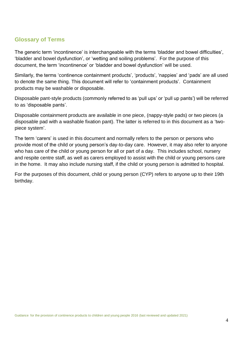## **Glossary of Terms**

The generic term 'incontinence' is interchangeable with the terms 'bladder and bowel difficulties', 'bladder and bowel dysfunction', or 'wetting and soiling problems'. For the purpose of this document, the term 'incontinence' or 'bladder and bowel dysfunction' will be used.

Similarly, the terms 'continence containment products', 'products', 'nappies' and 'pads' are all used to denote the same thing. This document will refer to 'containment products'. Containment products may be washable or disposable.

Disposable pant-style products (commonly referred to as 'pull ups' or 'pull up pants') will be referred to as 'disposable pants'.

Disposable containment products are available in one piece, (nappy-style pads) or two pieces (a disposable pad with a washable fixation pant). The latter is referred to in this document as a 'twopiece system'. Ĩ

The term 'carers' is used in this document and normally refers to the person or persons who provide most of the child or young person's day-to-day care. However, it may also refer to anyone who has care of the child or young person for all or part of a day. This includes school, nursery and respite centre staff, as well as carers employed to assist with the child or young persons care in the home. It may also include nursing staff, if the child or young person is admitted to hospital.

For the purposes of this document, child or young person (CYP) refers to anyone up to their 19th birthday.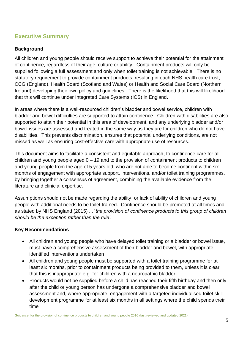## **Executive Summary**

### **Background**

All children and young people should receive support to achieve their potential for the attainment of continence, regardless of their age, culture or ability. Containment products will only be supplied following a full assessment and only when toilet training is not achievable. There is no statutory requirement to provide containment products, resulting in each NHS health care trust, CCG (England), Health Board (Scotland and Wales) or Health and Social Care Board (Northern Ireland) developing their own policy and guidelines. There is the likelihood that this will likelihood that this will continue under Integrated Care Systems (ICS) in England.

In areas where there is a well-resourced children's bladder and bowel service, children with bladder and bowel difficulties are supported to attain continence. Children with disabilities are also supported to attain their potential in this area of development, and any underlying bladder and/or bowel issues are assessed and treated in the same way as they are for children who do not have disabilities. This prevents discrimination, ensures that potential underlying conditions, are not missed as well as ensuring cost-effective care with appropriate use of resources.

This document aims to facilitate a consistent and equitable approach, to continence care for all children and young people aged  $0 - 19$  and to the provision of containment products to children and young people from the age of 5 years old, who are not able to become continent within six months of engagement with appropriate support, interventions, and/or toilet training programmes, by bringing together a consensus of agreement, combining the available evidence from the literature and clinicial expertise.

Assumptions should not be made regarding the ability, or lack of ability of children and young people with additional needs to be toilet trained. Continence should be promoted at all times and as stated by NHS England (2015) *...' the provision of continence products to this group of children should be the exception rather than the rule'.*

#### **Key Recommendations**

- All children and young people who have delayed toilet training or a bladder or bowel issue, must have a comprehensive assessment of their bladder and bowel, with appropriate identified interventions undertaken
- All children and young people must be supported with a toilet training programme for at least six months, prior to containment products being provided to them, unless it is clear that this is inappropriate e.g. for children with a neuropathic bladder
- Products would not be supplied before a child has reached their fifth birthday and then only after the child or young person has undergone a comprehensive bladder and bowel assessment and, where appropriate, engagement with a targeted individualised toilet skill development programme for at least six months in all settings where the child spends their time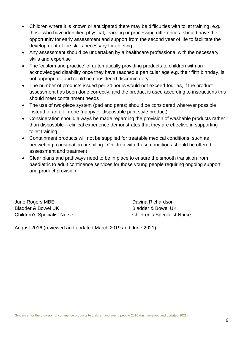- Children where it is known or anticipated there may be difficulties with toilet training, e.g. those who have identified physical, learning or processing differences, should have the opportunity for early assessment and support from the second year of life to facilitate the development of the skills necessary for toileting
- Any assessment should be undertaken by a healthcare professional with the necessary skills and expertise
- The 'custom and practice' of automatically providing products to children with an acknowledged disability once they have reached a particular age e.g. their fifth birthday, is not appropriate and could be considered discriminatory
- The number of products issued per 24 hours would not exceed four as, if the product assessment has been done correctly, and the product is used according to instructions this should meet containment needs
- The use of two-piece system (pad and pants) should be considered wherever possible instead of an all-in-one (nappy or disposable pant style product)
- Consideration should always be made regarding the provision of washable products rather than disposable – clinical experience demonstrates that they are effective in supporting toilet training
- Containment products will not be supplied for treatable medical conditions, such as bedwetting, constipation or soiling. Children with these conditions should be offered assessment and treatment
- Clear plans and pathways need to be in place to ensure the smooth transition from paediatric to adult continence services for those young people requiring ongoing support and product provision

June Rogers MBE **Davina Richardson** Bladder & Bowel UK Bladder & Bowel UK

Children's Specialist Nurse Children's Specialist Nurse

August 2016 (reviewed and updated March 2019 and June 2021)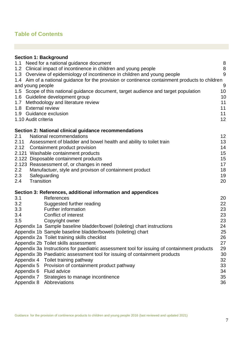## **Table of Contents**

| Need for a national guidance document<br>8<br>$\bf 8$<br>9<br>1.4 Aim of a national guidance for the provision or continence containment products to children<br>9<br>10<br>10<br>Methodology and literature review<br>11<br>11<br>1.8 External review<br>11<br>12<br>1.10 Audit criteria<br>Section 2: National clinical guidance recommendations<br>National recommendations<br>12<br>2.11 Assessment of bladder and bowel health and ability to toilet train<br>13<br>2.12 Containment product provision<br>14<br>15<br>15<br>17<br>18<br>Manufactuer, style and provison of containment product<br>19<br>Safeguarding<br>2.4<br>Transition<br>20<br>References<br>20<br>Suggested further reading<br>22<br>Further information<br>23<br>23<br>Conflict of interest<br>Copyright owner<br>23<br>24<br>25<br>26<br>27<br>29<br>Appendix 3a Instructions for paediatric assessment tool for issuing of containment products<br>Appendix 3b Paediatric assessment tool for issuing of containment products<br>30<br>Appendix 4<br>Toilet training pathway<br>32<br>33<br>Provision of containment product pathway<br>Appendix 6<br><b>Fluid advice</b><br>34<br>35<br>Appendix 7<br>Strategies to manage incontinence<br>36<br>Appendix 8<br>Abbreviations | <b>Section 1: Background</b>                                                        |  |
|------------------------------------------------------------------------------------------------------------------------------------------------------------------------------------------------------------------------------------------------------------------------------------------------------------------------------------------------------------------------------------------------------------------------------------------------------------------------------------------------------------------------------------------------------------------------------------------------------------------------------------------------------------------------------------------------------------------------------------------------------------------------------------------------------------------------------------------------------------------------------------------------------------------------------------------------------------------------------------------------------------------------------------------------------------------------------------------------------------------------------------------------------------------------------------------------------------------------------------------------------------|-------------------------------------------------------------------------------------|--|
|                                                                                                                                                                                                                                                                                                                                                                                                                                                                                                                                                                                                                                                                                                                                                                                                                                                                                                                                                                                                                                                                                                                                                                                                                                                            | 1.1                                                                                 |  |
|                                                                                                                                                                                                                                                                                                                                                                                                                                                                                                                                                                                                                                                                                                                                                                                                                                                                                                                                                                                                                                                                                                                                                                                                                                                            | 1.2 Clinical impact of incontinence in children and young people                    |  |
|                                                                                                                                                                                                                                                                                                                                                                                                                                                                                                                                                                                                                                                                                                                                                                                                                                                                                                                                                                                                                                                                                                                                                                                                                                                            | 1.3 Overview of epidemiology of incontinence in children and young people           |  |
|                                                                                                                                                                                                                                                                                                                                                                                                                                                                                                                                                                                                                                                                                                                                                                                                                                                                                                                                                                                                                                                                                                                                                                                                                                                            |                                                                                     |  |
|                                                                                                                                                                                                                                                                                                                                                                                                                                                                                                                                                                                                                                                                                                                                                                                                                                                                                                                                                                                                                                                                                                                                                                                                                                                            | and young people                                                                    |  |
|                                                                                                                                                                                                                                                                                                                                                                                                                                                                                                                                                                                                                                                                                                                                                                                                                                                                                                                                                                                                                                                                                                                                                                                                                                                            | 1.5 Scope of this national guidance document, target audience and target population |  |
|                                                                                                                                                                                                                                                                                                                                                                                                                                                                                                                                                                                                                                                                                                                                                                                                                                                                                                                                                                                                                                                                                                                                                                                                                                                            | 1.6 Guideline development group                                                     |  |
|                                                                                                                                                                                                                                                                                                                                                                                                                                                                                                                                                                                                                                                                                                                                                                                                                                                                                                                                                                                                                                                                                                                                                                                                                                                            | 1.7                                                                                 |  |
|                                                                                                                                                                                                                                                                                                                                                                                                                                                                                                                                                                                                                                                                                                                                                                                                                                                                                                                                                                                                                                                                                                                                                                                                                                                            |                                                                                     |  |
|                                                                                                                                                                                                                                                                                                                                                                                                                                                                                                                                                                                                                                                                                                                                                                                                                                                                                                                                                                                                                                                                                                                                                                                                                                                            | 1.9 Guidance exclusion                                                              |  |
|                                                                                                                                                                                                                                                                                                                                                                                                                                                                                                                                                                                                                                                                                                                                                                                                                                                                                                                                                                                                                                                                                                                                                                                                                                                            |                                                                                     |  |
|                                                                                                                                                                                                                                                                                                                                                                                                                                                                                                                                                                                                                                                                                                                                                                                                                                                                                                                                                                                                                                                                                                                                                                                                                                                            |                                                                                     |  |
|                                                                                                                                                                                                                                                                                                                                                                                                                                                                                                                                                                                                                                                                                                                                                                                                                                                                                                                                                                                                                                                                                                                                                                                                                                                            | 2.1                                                                                 |  |
|                                                                                                                                                                                                                                                                                                                                                                                                                                                                                                                                                                                                                                                                                                                                                                                                                                                                                                                                                                                                                                                                                                                                                                                                                                                            |                                                                                     |  |
|                                                                                                                                                                                                                                                                                                                                                                                                                                                                                                                                                                                                                                                                                                                                                                                                                                                                                                                                                                                                                                                                                                                                                                                                                                                            |                                                                                     |  |
|                                                                                                                                                                                                                                                                                                                                                                                                                                                                                                                                                                                                                                                                                                                                                                                                                                                                                                                                                                                                                                                                                                                                                                                                                                                            | 2.121 Washable containment products                                                 |  |
|                                                                                                                                                                                                                                                                                                                                                                                                                                                                                                                                                                                                                                                                                                                                                                                                                                                                                                                                                                                                                                                                                                                                                                                                                                                            | 2.122 Disposable containment products                                               |  |
|                                                                                                                                                                                                                                                                                                                                                                                                                                                                                                                                                                                                                                                                                                                                                                                                                                                                                                                                                                                                                                                                                                                                                                                                                                                            | 2.123 Reassessment of, or changes in need                                           |  |
|                                                                                                                                                                                                                                                                                                                                                                                                                                                                                                                                                                                                                                                                                                                                                                                                                                                                                                                                                                                                                                                                                                                                                                                                                                                            | $2.2\overline{ }$                                                                   |  |
|                                                                                                                                                                                                                                                                                                                                                                                                                                                                                                                                                                                                                                                                                                                                                                                                                                                                                                                                                                                                                                                                                                                                                                                                                                                            | 2.3                                                                                 |  |
|                                                                                                                                                                                                                                                                                                                                                                                                                                                                                                                                                                                                                                                                                                                                                                                                                                                                                                                                                                                                                                                                                                                                                                                                                                                            |                                                                                     |  |
|                                                                                                                                                                                                                                                                                                                                                                                                                                                                                                                                                                                                                                                                                                                                                                                                                                                                                                                                                                                                                                                                                                                                                                                                                                                            | Section 3: References, additional information and appendices                        |  |
|                                                                                                                                                                                                                                                                                                                                                                                                                                                                                                                                                                                                                                                                                                                                                                                                                                                                                                                                                                                                                                                                                                                                                                                                                                                            | 3.1                                                                                 |  |
|                                                                                                                                                                                                                                                                                                                                                                                                                                                                                                                                                                                                                                                                                                                                                                                                                                                                                                                                                                                                                                                                                                                                                                                                                                                            | 3.2                                                                                 |  |
|                                                                                                                                                                                                                                                                                                                                                                                                                                                                                                                                                                                                                                                                                                                                                                                                                                                                                                                                                                                                                                                                                                                                                                                                                                                            | 3.3                                                                                 |  |
|                                                                                                                                                                                                                                                                                                                                                                                                                                                                                                                                                                                                                                                                                                                                                                                                                                                                                                                                                                                                                                                                                                                                                                                                                                                            | 3.4                                                                                 |  |
|                                                                                                                                                                                                                                                                                                                                                                                                                                                                                                                                                                                                                                                                                                                                                                                                                                                                                                                                                                                                                                                                                                                                                                                                                                                            | 3.5                                                                                 |  |
|                                                                                                                                                                                                                                                                                                                                                                                                                                                                                                                                                                                                                                                                                                                                                                                                                                                                                                                                                                                                                                                                                                                                                                                                                                                            | Appendix 1a Sample baseline bladder/bowel (toileting) chart instructions            |  |
|                                                                                                                                                                                                                                                                                                                                                                                                                                                                                                                                                                                                                                                                                                                                                                                                                                                                                                                                                                                                                                                                                                                                                                                                                                                            | Appendix 1b Sample baseline bladder/bowels (toileting) chart                        |  |
|                                                                                                                                                                                                                                                                                                                                                                                                                                                                                                                                                                                                                                                                                                                                                                                                                                                                                                                                                                                                                                                                                                                                                                                                                                                            | Appendix 2a Toilet training skills checklist                                        |  |
|                                                                                                                                                                                                                                                                                                                                                                                                                                                                                                                                                                                                                                                                                                                                                                                                                                                                                                                                                                                                                                                                                                                                                                                                                                                            | Appendix 2b Toilet skills assessment                                                |  |
|                                                                                                                                                                                                                                                                                                                                                                                                                                                                                                                                                                                                                                                                                                                                                                                                                                                                                                                                                                                                                                                                                                                                                                                                                                                            |                                                                                     |  |
|                                                                                                                                                                                                                                                                                                                                                                                                                                                                                                                                                                                                                                                                                                                                                                                                                                                                                                                                                                                                                                                                                                                                                                                                                                                            |                                                                                     |  |
|                                                                                                                                                                                                                                                                                                                                                                                                                                                                                                                                                                                                                                                                                                                                                                                                                                                                                                                                                                                                                                                                                                                                                                                                                                                            |                                                                                     |  |
|                                                                                                                                                                                                                                                                                                                                                                                                                                                                                                                                                                                                                                                                                                                                                                                                                                                                                                                                                                                                                                                                                                                                                                                                                                                            | Appendix 5                                                                          |  |
|                                                                                                                                                                                                                                                                                                                                                                                                                                                                                                                                                                                                                                                                                                                                                                                                                                                                                                                                                                                                                                                                                                                                                                                                                                                            |                                                                                     |  |
|                                                                                                                                                                                                                                                                                                                                                                                                                                                                                                                                                                                                                                                                                                                                                                                                                                                                                                                                                                                                                                                                                                                                                                                                                                                            |                                                                                     |  |
|                                                                                                                                                                                                                                                                                                                                                                                                                                                                                                                                                                                                                                                                                                                                                                                                                                                                                                                                                                                                                                                                                                                                                                                                                                                            |                                                                                     |  |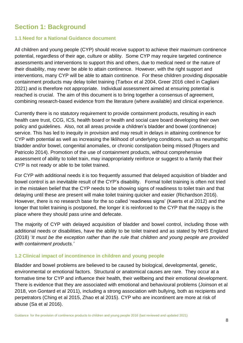# **Section 1: Background**

#### **1.1 Need for a National Guidance document**

All children and young people (CYP) should receive support to achieve their maximum continence potential, regardless of their age, culture or ability. Some CYP may require targeted continence assessments and interventions to support this and others, due to medical need or the nature of their disability, may never be able to attain continence. However, with the right support and interventions, many CYP will be able to attain continence. For these children providing disposable containment products may delay toilet training (Tarbox et al 2004, Greer 2016 cited in Cagliani 2021) and is therefore not appropriate. Individual assessment aimed at ensuring potential is reached is crucial. The aim of this document is to bring together a consensus of agreement, combining research-based evidence from the literature (where available) and clinical experience.

Currently there is no statutory requirement to provide containment products, resulting in each health care trust, CCG, ICS, health board or health and social care board developing their own policy and guidelines. Also, not all areas provide a children's bladder and bowel (continence) service. This has led to inequity in provision and may result in delays in attaining continence for CYP with potential as well as increasing the liklihood of underlying conditions, such as neuropathic bladder and/or bowel, congenital anomalies, or chronic constipation being missed (Rogers and Patricolo 2014). Promotion of the use of containment products, without comprehensive assessment of ability to toilet train, may inappropriately reinforce or suggest to a family that their CYP is not ready or able to be toilet trained.

For CYP with additional needs it is too frequently assumed that delayed acquisition of bladder and bowel control is an inevitable result of the CYP's disability. Formal toilet training is often not tried in the mistaken belief that the CYP needs to be showing signs of readiness to toilet train and that delaying until these are present will make toilet training quicker and easier (Richardson 2016). However, there is no research base for the so called 'readiness signs' (Kaerts et al 2012) and the longer that toilet training is postponed, the longer it is reinforced to the CYP that the nappy is the place where they should pass urine and defecate.

The majority of CYP with delayed acquisition of bladder and bowel control, including those with additional needs or disabilities, have the ability to be toilet trained and as stated by NHS England (2018) '*It must be the exception rather than the rule that children and young people are provided with containment products.'*

#### **1.2 Clinical impact of incontinence in children and young people**

Bladder and bowel problems are believed to be caused by biological, developmental, genetic, environmental or emotional factors. Structural or anatomical causes are rare. They occur at a formative time for CYP and influence their health, their wellbeing and their emotional development. There is evidence that they are associated with emotional and behavioural problems (Joinson et al 2018, von Gontard et al 2011), including a strong association with bullying, both as recipients and perpetrators (Ching et al 2015, Zhao et al 2015). CYP who are incontinent are more at risk of abuse (Sa et al 2016).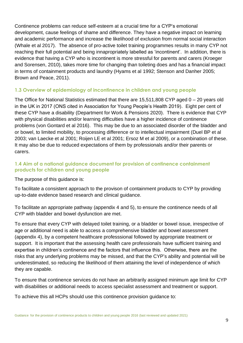Continence problems can reduce self-esteem at a crucial time for a CYP's emotional development, cause feelings of shame and difference. They have a negative impact on learning and academic performance and increase the likelihood of exclusion from normal social interaction (Whale et al 2017). The absence of pro-active toilet training programmes results in many CYP not reaching their full potential and being innapropriately labelled as 'incontinent'. In addition, there is evidence that having a CYP who is incontinent is more stressful for parents and carers (Kroeger and Sorensen, 2010), takes more time for changing than toileting does and has a financial impact in terms of containment products and laundry (Hyams et al 1992; Stenson and Danher 2005; Brown and Peace, 2011).

#### **1.3 Overview of epidemiology of incontinence in children and young people**

The Office for National Statistics estimated that there are 15,511,808 CYP aged 0 – 20 years old in the UK in 2017 (ONS cited in Association for Young People's Health 2019). Eight per cent of these CYP have a disability (Department for Work & Pensions 2020). There is evidence that CYP with physical disabilities and/or learning difficulties have a higher incidence of continence problems (von Gontard et al 2016). This may be due to an associated disorder of the bladder and or bowel, to limited mobility, to processing difference or to intellectual impairment (Duel BP et al 2003; van Laecke et al 2001; Roijen LE et al 2001; Ersoz M et al 2009), or a combination of these. It may also be due to reduced expectations of them by professionals and/or their parents or carers.

## **1.4 Aim of a national guidance document for provision of continence containment products for children and young people**

The purpose of this guidance is:

To facilitate a consistent approach to the provison of containment products to CYP by providing up-to-date evidence based research and clinical guidance.

To facilitate an appropriate pathway (appendix 4 and 5), to ensure the continence needs of all CYP with bladder and bowel dysfunction are met.

To ensure that every CYP with delayed toilet training, or a bladder or bowel issue, irrespective of age or additional need is able to access a comprehensive bladder and bowel assessment (appendix 4), by a competent healthcare professsional followed by appropriate treatment or support. It is important that the assessing health care professionals have sufficient training and expertise in children's continence and the factors that influence this. Otherwise, there are the risks that any underlying problems may be missed, and that the CYP's ability and potential will be underestimated, so reducing the likelihood of them attaining the level of independence of which they are capable.

To ensure that continence services do not have an arbitrarily assigned minimum age limit for CYP with disabilities or additional needs to access specialist assessment and treatment or support.

To achieve this all HCPs should use this continence provision guidance to: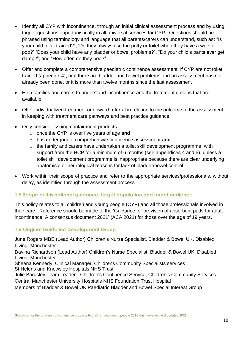- Identify all CYP with incontinence, through an initial clinical assessment process and by using trigger questions opportunistically in all universal services for CYP. Questions should be phrased using terminology and language that all parents/carers can understand, such as: "Is your child toilet trained?", 'Do they always use the potty or toilet when they have a wee or poo?' "Does your child have any bladder or bowel problems?", "Do your child's pants ever get damp?", and "How often do they poo?"
- Offer and complete a comprehensive paediatric continence assessment, if CYP are not toilet trained (appendix 4), or if there are bladder and bowel problems and an assessment has not already been done, or it is more than twelve months since the last assessment
- Help families and carers to understand incontinence and the treatment options that are available
- Offer individualized treatment or onward referral in relation to the outcome of the assessment, in keeping with treatment care pathways and best practice guidance
- Only consider issuing containment products:
	- o once the CYP is over five years of age **and**
	- o has undergone a comprehensive continence assessment **and**
	- o the family and carers have undertaken a toilet skill development programme, with support from the HCP for a minimum of 6 months (see appendices 4 and 5), unless a toilet skill development programme is inappropriate because there are clear underlying anatomical or neurological reasons for lack of bladder/bowel control
- Work within their scope of practice and refer to the appropriate services/professionals, without delay, as identified through the assessment process

## **1.5 Scope of this national guidance, target population and target audience**

This policy relates to all children and young people (CYP) and all those professionals involved in their care. Reference should be made to the 'Guidance for provision of absorbent pads for adult incontinence: A consensus document 2021' (ACA 2021) for those over the age of 19 years.

## **1.6 Original Guideline Development Group**

June Rogers MBE (Lead Author) Children's Nurse Specialist, Bladder & Bowel UK, Disabled Living, Manchester

Davina Richardson (Lead Author) Children's Nurse Specialist, Bladder & Bowel UK, Disabled Living, Manchester

Sheena Kennedy Clinical Manager, Childrens Community Specialists services St Helens and Knowsley Hospitals NHS Trust

Julie Bardsley Team Leader - Children's Continence Service, Children's Community Services, Central Manchester University Hospitals NHS Foundation Trust Hospital

Members of Bladder & Bowel UK Paediatric Bladder and Bowel Special Interest Group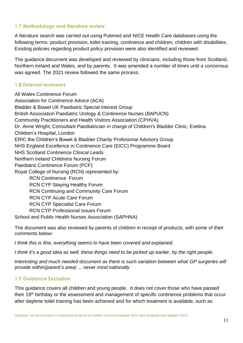#### **1.7 Methodology and literature review**

A literature search was carried out using Pubmed and NICE Health Care databases using the following terms: product provision, toilet training, continence and children, children with disabilities. Existing policies regarding product policy provision were also identified and reviewed.

The guidance document was developed and reviewed by clinicians, including those from Scotland, Northern Ireland and Wales, and by parents. It was amended a number of times until a concensus was agreed. The 2021 review followed the same process.

#### **1.8 External reviewers**

All Wales Continence Forum Association for Continence Advice (ACA) Bladder & Bowel UK Paediatric Special Interest Group British Association Paediatric Urology & Continence Nurses (BAPUCN) Community Practitioners and Health Visitors Association (CPHVA) Dr. Anne Wright, Consultant Paediatrician in charge of Children's Bladder Clinic, Evelina Children's Hospital, London ERIC the Children's Bowel & Bladder Charity Profesional Advisory Group NHS England Excellence in Continence Care (EICC) Programme Board NHS Scotland Continence Clinical Leads Northern Ireland Childrens Nursing Forum Paediatric Continence Forum (PCF) Royal College of Nursing (RCN) represented by: RCN Continence Forum RCN CYP Staying Healthy Forum RCN Continuing and Community Care Forum RCN CYP Acute Care Forum RCN CYP Specialist Care Forum RCN CYP Professional Issues Forum School and Public Health Nurses Association (SAPHNA)

The document was also reviewed by parents of children in receipt of products, with some of their comments below:

*I think this is fine, everything seems to have been covered and explained.* 

*I think it's a good idea as well, these things need to be picked up earlier, by the right people.*

*Interesting and much needed document as there is such variation between what GP surgeries will provide within(parent's area) ... never mind nationally*

## **1.9 Guidance Exclusion**

This guidance covers all children and young people. It does not cover those who have passed their 19<sup>th</sup> birthday or the assessment and management of specific continence problems that occur after daytime toilet training has been achieved and for which treatment is available, such as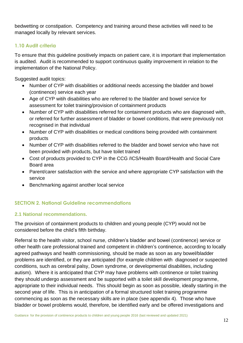bedwetting or constipation. Competency and training around these activities will need to be managed locally by relevant services.

#### **1.10 Audit criteria**

To ensure that this guideline positively impacts on patient care, it is important that implementation is audited. Audit is recommended to support continuous quality improvement in relation to the implementation of the National Policy.

Suggested audit topics:

- Number of CYP with disabilities or additional needs accessing the bladder and bowel (continence) service each year
- Age of CYP witih disabilities who are referred to the bladder and bowel service for assessment for toilet training/provision of containment products
- Number of CYP with disabilities referred for containment products who are diagnosed with, or referred for further assessment of bladder or bowel conditions, that were previously not recognised in that individual
- Number of CYP with disabilities or medical conditions being provided with containment products
- Number of CYP with disabilities referred to the bladder and bowel service who have not been provided with products, but have toilet trained
- Cost of products provided to CYP in the CCG /ICS/Health Board/Health and Social Care Board area
- Parent/carer satisfaction with the service and where appropriate CYP satisfaction with the service
- Benchmarking against another local service

## **SECTION 2. National Guideline recommendations**

## **2.1 National recommendations.**

The provision of containment products to children and young people (CYP) would not be considered before the child's fifth birthday.

Referral to the health visitor, school nurse, children's bladder and bowel (continence) service or other health care professional trained and competent in children's continence, according to locally agreed pathways and health commissioning, should be made as soon as any bowel/bladder problems are identified, or they are anticipated (for example children with diagnosed or suspected conditions, such as cerebral palsy, Down syndrome, or developmental disabilities, including autism). Where it is anticipated that CYP may have problems with continence or toilet training they should undergo assessment and be supported with a toilet skill development programme, appropriate to their individual needs. This should begin as soon as possible, ideally starting in the second year of life. This is in anticipation of a formal structured toilet training programme commencing as soon as the necessary skills are in place (see appendix 4). Those who have bladder or bowel problems would, therefore, be identified early and be offered investigations and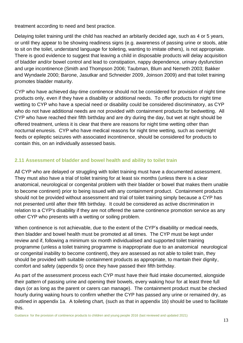treatment according to need and best practice.

Delaying toilet training until the child has reached an arbitarily decided age, such as 4 or 5 years, or until they appear to be showing readiness signs (e.g. awareness of passing urine or stools, able to sit on the toilet, understand language for toileting, wanting to imitate others), is not appropriate. There is good evidence to suggest that leaving a child in disposable products will delay acquisition of bladder and/or bowel control and lead to constipation, nappy dependence, urinary dysfunction and urge incontinence (Smith and Thompson 2006; Taubman, Blum and Nemeth 2003; Bakker and Wyndaele 2000; Barone, Jasutkar and Schneider 2009, Joinson 2009) and that toilet training promotes bladder maturity.

CYP who have achieved day-time continence should not be considered for provision of night time products only, even if they have a disability or additional needs. To offer products for night time wetting to CYP who have a special need or disability could be considered discriminatory, as CYP who do not have additional needs are not provided with containment products for bedwetting. All CYP who have reached their fifth birthday and are dry during the day, but wet at night should be offered treatment, unless it is clear that there are reasons for night time wetting other than nocturnal enuresis. CYP who have medical reasons for night time wetting, such as overnight feeds or epileptic seizures with associated incontinence, should be considered for products to contain this, on an individually assessed basis.

#### **2.11 Assessment of bladder and bowel health and ability to toilet train**

All CYP who are delayed or struggling with toilet training must have a documented assessment. They must also have a trial of toilet training for at least six months (unless there is a clear anatomical, neurological or congenital problem with their bladder or bowel that makes them unable to become continent) prior to being issued with any containment product. Containment products should not be provided without assessment and trial of toilet training simply because a CYP has not presented until after their fifth birthday. It could be considered as active discrimination in relation to a CYP's disability if they are not offered the same continence promotion service as any other CYP who presents with a wetting or soiling problem.

When continence is not achievable, due to the extent of the CYP's disability or medical needs, then bladder and bowel health must be promoted at all times. The CYP must be kept under review and if, following a minimum six month individualised and supported toilet training programme (unless a toilet training programme is inappropriate due to an anatomical neurological or congenital inability to become continent), they are assessed as not able to toilet train, they should be provided with suitable containment products as appropriate, to mantain their dignity, comfort and safety (appendix 5) once they have passed their fifth birthday.

As part of the assessment process each CYP must have their fluid intake documented, alongside their pattern of passing urine and opening their bowels, every waking hour for at least three full days (or as long as the parent or carers can manage). The containment product must be checked hourly during waking hours to confirm whether the CYP has passed any urine or remained dry, as outlined in appendix 1a. A toileting chart, (such as that in appendix 1b) should be used to facilitate this.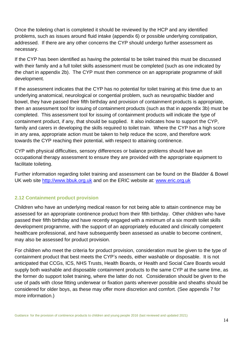Once the toileting chart is completed it should be reviewed by the HCP and any identified problems, such as issues around fluid intake (appendix 6) or possible underlying constipation, addressed. If there are any other concerns the CYP should undergo further assessment as necessary.

If the CYP has been identified as having the potential to be toilet trained this must be discussed with their family and a full toilet skills assessment must be completed (such as one indicated by the chart in appendix 2b). The CYP must then commence on an appropriate programme of skill development.

If the assessment indicates that the CYP has no potential for toilet training at this time due to an underlying anatomical, neurological or congential problem, such as neuropathic bladder and bowel, they have passed their fifth birthday and provision of containment products is appropriate, then an assessment tool for issuing of containment products (such as that in appendix 3b) must be completed. This assessment tool for issuing of containment products will indicate the type of containment product, if any, that should be supplied. It also indicates how to support the CYP, family and carers in developing the skills required to toilet train. Where the CYP has a high score in any area, appropriate action must be taken to help reduce the score, and therefore work towards the CYP reaching their potential, with respect to attaining continence.

CYP with physical difficulties, sensory differences or balance problems should have an occupational therapy assessment to ensure they are provided with the appropriate equipment to facilitate toileting.

Further information regarding toilet training and assessment can be found on the Bladder & Bowel UK web site [http://www.bbuk.org.uk](http://www.bbuk.org.uk/) and on the ERIC website at: [www.eric.org.uk](http://www.eric.org.uk/)

## **2.12 Containment product provision**

Children who have an underlying medical reason for not being able to attain continence may be assessed for an appropriate continence product from their fifth birthday. Other children who have passed their fifth birthday and have recently engaged with a minimum of a six month toilet skills development programme, with the support of an appropriately educated and clinically competent healthcare professional, and have subsequently been assessed as unable to become continent, may also be assessed for product provision.

For children who meet the criteria for product provision, consideration must be given to the type of containment product that best meets the CYP's needs, either washable or disposable. It is not anticipated that CCGs, ICS, NHS Trusts, Health Boards, or Health and Social Care Boards would supply both washable and disposable containment products to the same CYP at the same time, as the former do support toilet training, where the latter do not. Consideration should be given to the use of pads with close fitting underwear or fixation pants wherever possible and sheaths should be considered for older boys, as these may offer more discretion and comfort. (See appendix 7 for more information.)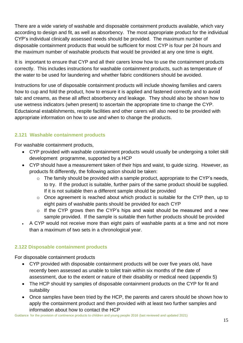There are a wide variety of washable and disposable containment products available, which vary according to design and fit, as well as absorbency. The most appropriate product for the individual CYP's individual clinically assessed needs should be provided. The maximum number of disposable containment products that would be sufficient for most CYP is four per 24 hours and the maximum number of washable products that would be provided at any one time is eight.

It is important to ensure that CYP and all their carers know how to use the containment products correctly. This includes instructions for washable containment products, such as temperature of the water to be used for laundering and whether fabric conditioners should be avoided.

Instructions for use of disposable containment products will include showing families and carers how to cup and fold the product, how to ensure it is applied and fastened correctly and to avoid talc and creams, as these all affect absorbency and leakage. They should also be shown how to use wetness indicators (when present) to ascertain the appropriate time to change the CYP. Eductaional establishments, respite facilities and other carers will also need to be provided with appropriate information on how to use and when to change the products.

## **2.121 Washable containment products**

For washable containment products,

- CYP provided with washable containment products would usually be undergoing a toilet skill development programme, supported by a HCP
- CYP should have a measurement taken of their hips and waist, to guide sizing. However, as products fit differently, the following action should be taken:
	- $\circ$  The family should be provided with a sample product, appropriate to the CYP's needs, to try. If the product is suitable, further pairs of the same product should be supplied. If it is not suitable then a different sample should be provided
	- $\circ$  Once agreement is reached about which product is suitable for the CYP then, up to eight pairs of washable pants should be provided for each CYP
	- o If the CYP grows then the CYP's hips and waist should be measured and a new sample provided. If the sample is suitable then further products should be provided
- A CYP would not receive more than eight pairs of washable pants at a time and not more than a maximum of two sets in a chronological year.

## **2.122 Disposable containment products**

For disposable containment products

- CYP provided with disposable containment products will be over five years old, have recently been assessed as unable to toilet train within six months of the date of assessment, due to the extent or nature of their disability or medical need (appendix 5)
- The HCP should try samples of disposable containment products on the CYP for fit and suitability
- Once samples have been tried by the HCP, the parents and carers should be shown how to apply the containment product and then provided with at least two further samples and information about how to contact the HCP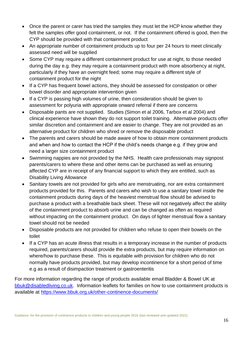- Once the parent or carer has tried the samples they must let the HCP know whether they felt the samples offer good containment, or not. If the containment offered is good, then the CYP should be provided with that containment product
- An appropriate number of containment products up to four per 24 hours to meet clinically assessed need will be supplied
- Some CYP may require a different containment product for use at night, to those needed during the day e.g. they may require a containment product with more absorbency at night, particularly if they have an overnight feed; some may require a different style of containment product for the night
- If a CYP has frequent bowel actions, they should be assessed for constipation or other bowel disorder and appropriate intervention given
- If a CYP is passing high volumes of urine, then consideration should be given to assessment for polyuria with appropriate onward referral if there are concerns
- Disposable pants are not supplied. Studies (Simon et al 2006, Tarbox et al 2004) and clinical experience have shown they do not support toilet training. Alternative products offer similar discretion and containment and are easier to change. They are not provided as an alternative product for children who shred or remove the disposable product
- The parents and carers should be made aware of how to obtain more containment products and when and how to contact the HCP if the child's needs change e.g. if they grow and need a larger size containment product
- Swimming nappies are not provided by the NHS. Health care professionals may signpost parents/carers to where these and other items can be purchased as well as ensuring affected CYP are in receipt of any financial support to which they are entitled, such as Disability Living Allowance
- Sanitary towels are not provided for girls who are menstruating, nor are extra containment products provided for this. Parents and carers who wish to use a sanitary towel inside the containment products during days of the heaviest menstrual flow should be advised to purchase a product with a breathable back sheet. These will not negatively affect the ability of the containment product to absorb urine and can be changed as often as required without impacting on the containment product. On days of lighter menstrual flow a sanitary towel should not be needed
- Disposable products are not provided for children who refuse to open their bowels on the toilet
- If a CYP has an acute illness that results in a temporary increase in the number of products required, parents/carers should provide the extra products, but may require information on where/how to purchase these. This is equitable with provision for children who do not normally have products provided, but may develop incontinence for a short period of time e.g as a result of disimpaction treatment or gastroenteritis

For more information regarding the range of products available email Bladder & Bowel UK at [bbuk@disabledliving.co.uk.](mailto:bladderandboweluk@disabledliving.co.uk) Information leaflets for families on how to use containment products is available at<https://www.bbuk.org.uk/other-continence-documents/>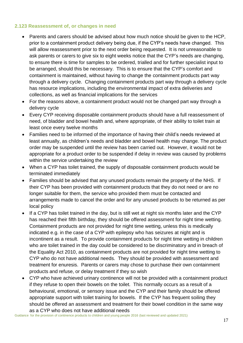#### **2.123 Reassessment of, or changes in need**

- Parents and carers should be advised about how much notice should be given to the HCP, prior to a containment product delivery being due, if the CYP's needs have changed. This will allow reassessment prior to the next order being requested. It is not unreasonable to ask parents or carers to give six to eight weeks notice that the CYP's needs are changing, to ensure there is time for samples to be ordered, trialled and for further specialist input to be arranged, should this be necessary. This is to ensure that the CYP's comfort and containment is maintained, without having to change the containment products part way through a delivery cycle. Changing containment products part way through a delivery cycle has resource implications, including the environmental impact of extra deliveries and collections, as well as financial implications for the services
- For the reasons above, a containment product would not be changed part way through a delivery cycle
- Every CYP receiving disposable containment products should have a full reassessment of need, of bladder and bowel health and, where appropriate, of their ability to toilet train at least once every twelve months
- Families need to be informed of the importance of having their child's needs reviewed at least annually, as children's needs and bladder and bowel health may change. The product order may be suspended until the review has been carried out. However, it would not be appropriate for a product order to be suspended if delay in review was caused by problems within the service undertaking the review
- When a CYP has toilet trained, the supply of disposable containment products would be terminated immediately
- Families should be advised that any unused products remain the property of the NHS. If their CYP has been provided with containment products that they do not need or are no longer suitable for them, the service who provided them must be contacted and arrangements made to cancel the order and for any unused products to be returned as per local policy
- If a CYP has toilet trained in the day, but is still wet at night six months later and the CYP has reached their fifth birthday, they should be offered assessment for night time wetting. Containment products are not provided for night time wetting, unless this is medically indicated e.g. in the case of a CYP with epilepsy who has seizures at night and is incontinent as a result. To provide containment products for night time wetting in children who are toilet trained in the day could be considered to be discriminatory and in breach of the Equality Act 2010, as containment products are not provided for night time wetting to CYP who do not have additional needs. They should be provided with assessment and treatment for enuresis. Parents or carers may chose to purchase their own containment products and refuse, or delay treatment if they so wish
- CYP who have achieved urinary continence will not be provided with a containment product if they refuse to open their bowels on the toilet. This normally occurs as a result of a behavioural, emotional, or sensory issue and the CYP and their family should be offered appropriate support with toilet training for bowels. If the CYP has frequent soiling they should be offered an assessment and treatment for their bowel condition in the same way as a CYP who does not have additional needs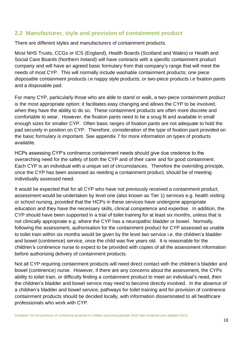## **2.2 Manufacturer, style and provision of containment product**

There are different styles and manufacturers of containment products.

Most NHS Trusts, CCGs or ICS (England), Health Boards (Scotland and Wales) or Health and Social Care Boards (Northern Ireland) will have contracts with a specific containment product company and will have an agreed basic formulary from that company's range that will meet the needs of most CYP. This will normally include washable containment products; one piece disposable containment products i.e nappy style products; or two-piece products i.e fixation pants and a disposable pad.

For many CYP, particularly those who are able to stand or walk, a two-piece containment product is the most appropriate option; it facilitates easy changing and allows the CYP to be involved, when they have the ability to do so. These containment products are often more discrete and comfortable to wear. However, the fixation pants need to be a snug fit and available in small enough sizes for smaller CYP. Often basic ranges of fixation pants are not adequate to hold the pad securely in position on CYP. Therefore, consideration of the type of fixation pant provided on the basic formulary is important. See appendix 7 for more information on types of products available.

HCPs assessing CYP's continence containment needs should give due credence to the overarching need for the safety of both the CYP and of their carer and for good containment. Each CYP is an individual with a unique set of circumstances. Therefore the overriding principle, once the CYP has been assessed as needing a containment product, should be of meeting individually assessed need.

It would be expected that for all CYP who have not previously received a containment product, assessment would be undertaken by level one (also known as Tier 1) services e.g. health visiting or school nursing, provided that the HCPs in these services have undergone appropriate education and they have the necessary skills, clinical competence and expertise. In addition, the CYP should have been supported in a trial of toilet training for at least six months, unless that is not clinically appropriate e.g. where the CYP has a neuropathic bladder or bowel. Normally, following the assessment, authorisation for the containment product for CYP assessed as unable to toilet train within six months would be given by the level two service i.e. the children's bladder and bowel (continence) service, once the child was five years old. It is reasonable for the children's continence nurse to expect to be provided with copies of all the assessment information before authorising delivery of containment products.

Not all CYP requiring containment products will need direct contact with the children's bladder and bowel (continence) nurse. However, if there are any concerns about the assessment, the CYPs ability to toilet train, or difficulty finding a containment product to meet an individual's need, then the children's bladder and bowel service may need to become directly involved. In the absence of a children's bladder and bowel service, pathways for toilet training and for provision of continence containment products should be decided locally, with information disseminated to all healthcare professionals who work with CYP.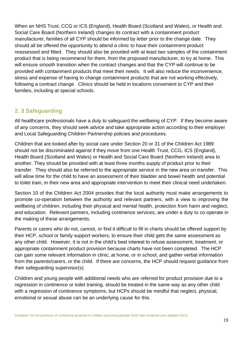When an NHS Trust, CCG or ICS (England), Health Board (Scotland and Wales), or Health and Social Care Board (Northern Ireland) changes its contract with a containment product manufacturer, families of all CYP should be informed by letter prior to the change date. They should all be offered the opportunity to attend a clinic to have their containment product reassessed and fitted. They should also be provided with at least two samples of the containment product that is being recommend for them, from the proposed manufacturer, to try at home. This will ensure smooth transition when the contract changes and that the CYP will continue to be provided with containment products that meet their needs. It will also reduce the inconvenience, stress and expense of having to change containment products that are not working effectively, following a contract change. Clinics should be held in locations convenient to CYP and their families, including at special schools.

## **2. 3 Safeguarding**

All healthcare professionals have a duty to safeguard the wellbeing of CYP. If they become aware of any concerns, they should seek advice and take appropriate action according to their employer and Local Safeguarding Children Partnership policies and procedures.

Children that are looked after by social care under Section 20 or 31 of the Children Act 1989 should not be discriminated against if they move from one Health Trust, CCG, ICS (England), Health Board (Scotland and Wales) or Health and Social Care Board (Northern Ireland) area to another. They should be provided with at least three months supply of product prior to their transfer. They should also be referred to the appropriate service in the new area on transfer. This will allow time for the child to have an assessment of their bladder and bowel health and potential to toilet train, in their new area and appropriate intervention to meet their clinical need undertaken.

Section 10 of the Children Act 2004 provides that the local authority must make arrangements to promote co-operation between the authority and relevant partners, with a view to improving the wellbeing of children, including their physical and mental health, protection from harm and neglect, and education. Relevant partners, including continence services, are under a duty to co-operate in the making of these arrangements.

Parents or carers who do not, cannot, or find it difficult to fill in charts should be offered support by their HCP, school or family support workers, to ensure their child gets the same assessment as any other child. However, it is not in the child's best interest to refuse assessment, treatment, or appropriate containment product provision because charts have not been completed. The HCP can gain some relevant information in clinic, at home, or in school, and gather verbal information from the parents/carers, or the child. If there are concerns, the HCP should request guidance from their safeguarding supervisor(s).

Children and young people with additional needs who are referred for product provision due to a regression in continence or toilet training, should be treated in the same way as any other child with a regression of continence symptoms, but HCPs should be mindful that neglect, physical, emotional or sexual abuse can be an underlying cause for this.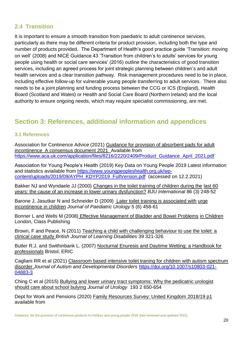## **2.4 Transition**

It is important to ensure a smooth transition from paediatric to adult continence services, particularly as there may be different criteria for product provision, including both the type and number of products provided. The Department of Health's good practice guide 'Transition: moving on well' (2008) and NICE Guidance 43 'Transition from children's to adults' services for young people using health or social care services' (2016) outline the characteristics of good transition services, including an agreed process for joint strategic planning between children's and adult health services and a clear transition pathway. Risk management procedures need to be in place, including effective follow-up for vulnerable young people transferring to adult services. There also needs to be a joint planning and funding process between the CCG or ICS (England), Health Board (Scotland and Wales) or Health and Social Care Board (Northern Ireland) and the local authority to ensure ongoing needs, which may require specialist commissioning, are met.

# **Section 3: References, additional information and appendices**

#### **3.1 References**

Association for Continence Advice (2021) Guidance for provision of absorbent pads for adult incontinence A consensus document 2021 Available from [https://www.aca.uk.com/application/files/8216/2220/2409/Product\\_Guidance\\_April\\_2021.pdf](https://www.aca.uk.com/application/files/8216/2220/2409/Product_Guidance_April_2021.pdf)

Association for Young People's Health (2019) Key Data on Young People 2019 Latest information and statistics aviailable from [https://www.youngpeopleshealth.org.uk/wp](https://www.youngpeopleshealth.org.uk/wp-content/uploads/2019/09/AYPH_KDYP2019_FullVersion.pdf)[content/uploads/2019/09/AYPH\\_KDYP2019\\_FullVersion.pdf](https://www.youngpeopleshealth.org.uk/wp-content/uploads/2019/09/AYPH_KDYP2019_FullVersion.pdf) (accessed on 12.2.2021)

Bakker NJ and Wyndaele JJ (2000) Changes in the toilet training of children during the last 60 years: the cause of an increase in lower urinary dysfunction? *BJU International* 86 (3) 248-52

Barone J. Jasutkar N and Schneider D (2009) Later toilet training is associated with urge incontinence in children *Journal of Paediatric Urology* 5 (6) 458-61

Bonner L and Wells M (2008) Effective Management of Bladder and Bowel Problems in Children London, Class Publishing

Brown, F and Peace, N (2011) Teaching a child with challenging behaviour to use the toilet: a clinical case study *British Journal of Learning Disabilities* 39 321-326

Butler R.J. and Swithinbank L. (2007) Nocturnal Enuresis and Daytime Wetting: a Handbook for professionals Bristol, ERIC

Cagliani RR et al (2021) Classroom based intensive toilet traning for children with autism spectrum disorder *Journal of Autism and Developmental Disorders* [https://doi.org/10.1007/s10803-021-](https://doi.org/10.1007/s10803-021-04883-3) [04883-3](https://doi.org/10.1007/s10803-021-04883-3)

Ching C et al (2015) Bullying and lower urinary tract symptoms: Why the pedicatric urologist should care about school bulying *Journal of Urology* 193 2 650-654

Dept for Work and Pensions (2020) Family Resources Survey: United Kingdom 2018/19 p1 available from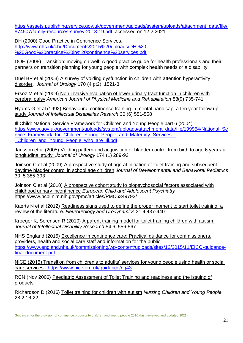[https://assets.publishing.service.gov.uk/government/uploads/system/uploads/attachment\\_data/file/](https://assets.publishing.service.gov.uk/government/uploads/system/uploads/attachment_data/file/874507/family-resources-survey-2018-19.pdf) [874507/family-resources-survey-2018-19.pdf](https://assets.publishing.service.gov.uk/government/uploads/system/uploads/attachment_data/file/874507/family-resources-survey-2018-19.pdf) accessed on 12.2.2021

DH (2000) Good Practice in Continence Services. [http://www.nhs.uk/chq/Documents/2015%20uploads/DH%20-](http://www.nhs.uk/chq/Documents/2015%20uploads/DH%20-%20Good%20practice%20in%20continence%20services.pdf) [%20Good%20practice%20in%20continence%20services.pdf](http://www.nhs.uk/chq/Documents/2015%20uploads/DH%20-%20Good%20practice%20in%20continence%20services.pdf)

DOH (2008) Transition: moving on well: A good practice guide for health professionals and their partners on transition planning for young people with complex health needs or a disability.

Duel BP et al (2003) A survey of voiding dysfunction in children with attention hyperactivity disorder. *Journal of Urology* 170 (4 pt2), 1521-3

Ersoz M et al (2009) Non invasive evaluation of lower urinary tract function in children with cerebral palsy *American Journal of Physical Medicine and Rehabilitation* 88(9) 735-741

Hyams G et al (1992) Behavioural continence training in mental handicap: a ten year follow up study *Journal of Intellectual Disabilities Resarch* 36 (6) 551-558

Ill Child: National Service Framework for Children and Young People part 6 (2004) [https://www.gov.uk/government/uploads/system/uploads/attachment\\_data/file/199954/National\\_Se](https://www.gov.uk/government/uploads/system/uploads/attachment_data/file/199954/National_Service_Framework_for_Children_Young_People_and_Maternity_Services_-_Children_and_Young_People_who_are_Ill.pdf) [rvice\\_Framework\\_for\\_Children\\_Young\\_People\\_and\\_Maternity\\_Services\\_-](https://www.gov.uk/government/uploads/system/uploads/attachment_data/file/199954/National_Service_Framework_for_Children_Young_People_and_Maternity_Services_-_Children_and_Young_People_who_are_Ill.pdf) [\\_Children\\_and\\_Young\\_People\\_who\\_are\\_Ill.pdf](https://www.gov.uk/government/uploads/system/uploads/attachment_data/file/199954/National_Service_Framework_for_Children_Young_People_and_Maternity_Services_-_Children_and_Young_People_who_are_Ill.pdf)

Jansson et al (2005) Voiding pattern and acquisition of bladder control from birth to age 6 years-a longitudinal study *Journal of Urology* 174 (1) 289-93

Joinson C et al (2009) A prospective study of age at initiation of toilet training and subsequent daytime bladder control in school age children *Journal of Developmental and Behavioral Pediatrics* 30, 5 385-393

Joinson C et al (2018) A prospective cohort study fo biopsychosocial factors associated with childhood urinary incontinence *European Child and Adolescent Psychiatry*  https://www.ncbi.nlm.nih.gov/pmc/articles/PMC6349792/

Kaerts N et al (2012) Readiness signs used to define the proper moment to start toilet training: a review of the literature. *Neurourology and Urodynamics* 31 4 437-440

Kroeger K, Sorensen R (2010) A parent training model for toilet training children with autism. *Journal of Intellectual Disability Research* 54,6, 556-567

NHS England (2015) Excellence in continence care: Practical guidance for commissioners, providers, health and social care staff and information for the public [https://www.england.nhs.uk/commissioning/wp-content/uploads/sites/12/2015/11/EICC-guidance](https://www.england.nhs.uk/commissioning/wp-content/uploads/sites/12/2015/11/EICC-guidance-final-document.pdf)[final-document.pdf](https://www.england.nhs.uk/commissioning/wp-content/uploads/sites/12/2015/11/EICC-guidance-final-document.pdf)

NICE (2016) Transition from children's to adutlts' services for young people using health or social care services. <https://www.nice.org.uk/guidance/ng43>

RCN (Nov 2006) Paediatric Assessment of Toilet Training and readiness and the issuing of products

Richardson D (2016) Toilet training for children with autism *Nursing Children and Young People*  28 2 16-22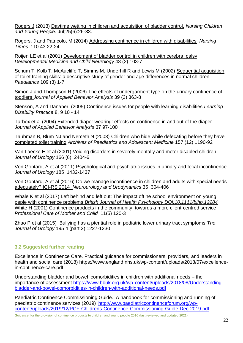[Rogers J](http://www.ncbi.nlm.nih.gov/pubmed/?term=Rogers%20J%5BAuthor%5D&cauthor=true&cauthor_uid=23957138) (2013) Daytime wetting in children and acquisition of bladder control. *[Nursing Children](http://www.ncbi.nlm.nih.gov/pubmed/23957138)  and [Young People.](http://www.ncbi.nlm.nih.gov/pubmed/23957138)* Jul;25(6):26-33.

Rogers, J and Patricolo, M (2014) Addressing continence in children with disabilities *Nursing Times* l110 43 22-24

Roijen LE et al (2001) Development of bladder control in children with cerebral palsy *Developmental Medicine and Child Neurology* 43 (2) 103-7

Schum T, Kolb T, McAucliffe T, Simms M, Underhill R and Lewis M (2002) Sequential acquisition of toilet training skills: a descriptive study of gender and age differences in normal children *Paediatrics* 109 (3) 1-7

Simon J and Thompson R (2006) The effects of undergarment type on the urinary continence of toddlers *Journal of Applied Behavior Analysis* 39 (3) 363-8

Stenson, A and Danaher, (2005) Continence issues for people with learning disabilities *Learning Disability Practice* 8, 9 10 - 14

Tarbox et al (2004) Extended diaper wearing: effects on continence in and out of the diaper *Journal of Applied Behavior Analysis* 37 97-100

Taubman B, Blum NJ and Nemeth N (2003) Children who hide while defecating before they have completed toilet training *Archives of Paediatrics and Adolescent Medicine* 157 (12) 1190-92

Van Laecke E et al (2001) Voiding disorders in severely mentally and motor disabled children *Journal of Urology* 166 (6), 2404-6

Von Gontard, A et al (2011) Psychological and psychiatric issues in urinary and fecal incontinence *Journal of Urology* 185 1432-1437

Von Gontard, A et al (2016) Do we manage incontinence in children and adults with special needs adequately? ICI-RS 2014 *Neurourology and Urodynamics* 35 304-406

Whale K et al (2017) Left behind and left out: The impact oft he school environment on young peple with continence problems *British Journal of Health Psychology DOI:10.1111/bjhp.12284* White H (2001) Continence products in the community: towards a more client centred service *Professional Care of Mother and Child* 11(5) 120-3

Zhao P et al (2015) Bullying has a ptential role in pediatric lower urinary tract symptoms *The Journal of Urology* 195 4 (part 2) 1227-1230

#### **3.2 Suggested further reading**

Excellence in Continence Care. Practical guidance for commissioners, providers, and leaders in health and social care (2018) https://www.england.nhs.uk/wp-content/uploads/2018/07/excellencein-continence-care.pdf

Understanding bladder and bowel comorbidities in children with additional needs – the importance of assessment [https://www.bbuk.org.uk/wp-content/uploads/2018/08/Understanding](https://www.bbuk.org.uk/wp-content/uploads/2018/08/Understanding-bladder-and-bowel-comorbidities-in-children-with-additional-needs.pdf)[bladder-and-bowel-comorbidities-in-children-with-additional-needs.pdf](https://www.bbuk.org.uk/wp-content/uploads/2018/08/Understanding-bladder-and-bowel-comorbidities-in-children-with-additional-needs.pdf)

Paediatric Continence Commissioning Guide. A handbook for commissioning and running of paediatric continence services (2019) [http://www.paediatriccontinenceforum.org/wp](http://www.paediatriccontinenceforum.org/wp-content/uploads/2019/12/PCF-Childrens-Continence-Commissioning-Guide-Dec-2019.pdf)[content/uploads/2019/12/PCF-Childrens-Continence-Commissioning-Guide-Dec-2019.pdf](http://www.paediatriccontinenceforum.org/wp-content/uploads/2019/12/PCF-Childrens-Continence-Commissioning-Guide-Dec-2019.pdf)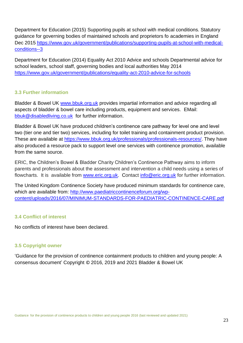Department for Education (2015) Supporting pupils at school with medical conditions. Statutory guidance for governing bodies of maintained schools and proprietors fo academies in England Dec 2015 [https://www.gov.uk/government/publications/supporting-pupils-at-school-with-medical](https://www.gov.uk/government/publications/supporting-pupils-at-school-with-medical-conditions--3)[conditions--3](https://www.gov.uk/government/publications/supporting-pupils-at-school-with-medical-conditions--3)

Department for Education (2014) Equality Act 2010 Advice and schools Departmental advice for school leaders, school staff, governing bodies and local authorities May 2014 <https://www.gov.uk/government/publications/equality-act-2010-advice-for-schools>

#### **3.3 Further information**

Bladder & Bowel UK [www.bbuk.org.uk](http://www.bbuk.org.uk/) provides impartial information and advice regarding all aspects of bladder & bowel care including products, equipment and services. EMail: [bbuk@disabledliving.co.uk](mailto:bbuk@disabledliving.co.uk) for further information.

Bladder & Bowel UK have produced children's continence care pathway for level one and level two (tier one and tier two) services, including for toilet training and containment product provision. These are available at [https://www.bbuk.org.uk/professionals/professionals-resources/.](https://www.bbuk.org.uk/professionals/professionals-resources/) They have also produced a resource pack to support level one services with continence promotion, available from the same source.

ERIC, the Children's Bowel & Bladder Charity Children's Continence Pathway aims to inform parents and professionals about the assessment and intervention a child needs using a series of flowcharts. It is available from [www.eric.org.uk.](http://www.eric.org.uk/) Contact [info@eric.org.uk](mailto:info@eric.org.uk) for further information.

The United Kingdom Continence Society have produced minimum standards for continence care, which are available from: [http://www.paediatriccontinenceforum.org/wp](http://www.paediatriccontinenceforum.org/wp-content/uploads/2016/07/MINIMUM-STANDARDS-FOR-PAEDIATRIC-CONTINENCE-CARE.pdf)[content/uploads/2016/07/MINIMUM-STANDARDS-FOR-PAEDIATRIC-CONTINENCE-CARE.pdf](http://www.paediatriccontinenceforum.org/wp-content/uploads/2016/07/MINIMUM-STANDARDS-FOR-PAEDIATRIC-CONTINENCE-CARE.pdf)

#### **3.4 Conflict of interest**

No conflicts of interest have been declared.

#### **3.5 Copyright owner**

'Guidance for the provision of continence containment products to children and young people: A consensus document' Copyright © 2016, 2019 and 2021 Bladder & Bowel UK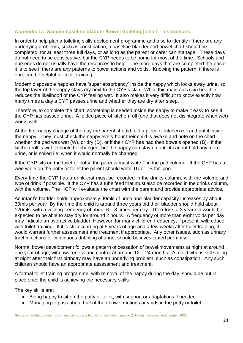#### **Appendix 1a: Sample baseline bladder /bowel (toileting) chart - instructions**

In order to help plan a toileting skills devlopment programme and also to identify if there are any underlying problems, such as constipation, a baseline bladder and bowel chart should be completed, for at least three full days, or as long as the parent or carer can manage. These days do not need to be consecutive, but the CYP needs to be home for most of the time. Schools and nurseries do not usually have the resources to help. The more days that are completed the easier it is to see if there are any patterns to bowel actions and voids. Knowing the pattern, if there is one, can be helpful for toilet training.

Modern disposable nappies have 'super absorbency' inside the nappy which locks away urine, so the top layer of the nappy stays dry next to the CYP's skin. While this maintains skin health, it reduces the likelihood of the CYP feeling wet. It also makes it very difficult to know exactly how many times a day a CYP passes urine and whether they are dry after sleep.

Therefore, to complete the chart, something is needed inside the nappy to make it easy to see if the CYP has passed urine. A folded piece of kitchen roll (one that does not disintegrate when wet) works well.

At the first nappy change of the day the parent should fold a piece of kitchen roll and put it inside the nappy. They must check the nappy every hour their child is awake and note on the chart whether the pad was wet (W), or dry (D), or if their CYP has had their bowels opened (B). If the kitchen roll is wet it should be changed, but the nappy can stay on until it cannot hold any more urine, or is soiled i.e. when it would normally be changed.

If the CYP sits on the toilet or potty, the parents must write T in the pad column. If the CYP has a wee while on the potty or toilet the parent should write TU or TB for poo.

Every time the CYP has a drink that must be recorded in the drinks column, with the volume and type of drink if possible. If the CYP has a tube feed that must also be recorded in the drinks column, with the volume. The HCP will evaluate the chart with the parent and provide appropriate advice.

An infant's bladder holds approximately 30mls of urine and bladder capacity increases by about 30mls per year. By the time the child is around three years old their bladder should hold about 120mls, with a voiding frequency of about 6 – 8 times per day. Therefore, a 3 year old would be expected to be able to stay dry for around 2 hours. A frequency of more than eight voids per day may indicate an overactive bladder. However, for many children frequency, if present, will reduce with toilet training. If it is still occurring at 5 years of age and a few weeks after toilet training, it would warrant further assessment and treatment if appropriate. Any other issues, such as urinary tract infections or continuous dribbling of urine, should be investigated promptly.

Normal bowel development follows a pattern of cessation of bowel movements at night at around one year of age, with awareness and control at around  $12 - 24$  months. A child who is still soiling at night after their first birthday may have an underlying problem, such as constipation. Any such children should have an appropriate assessment and treatment.

A formal toilet training programme, with removal of the nappy during the day, should be put in place once the child is achieving the necessary skills.

The key skills are:

- Being happy to sit on the potty or toilet, with support or adaptations if needed
- Managing to pass about half of their bowel motions or voids in the potty or toilet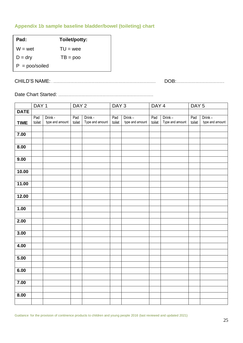### **Appendix 1b sample baseline bladder/bowel (toileting) chart**

| Pad:             | Toilet/potty: |
|------------------|---------------|
| $W = wet$        | $TU =$ wee    |
| $D = dry$        | $TB = poo$    |
| $P = poo/soiled$ |               |

CHILD'S NAME: . ................................................................................................................. DOB:..................................................... D = damp

Date Chart Started: ......................................................................................................... P = poo/soiled

|                   | DAY <sub>1</sub> |                 | DAY <sub>2</sub> |                 | DAY 3  |                 | DAY <sub>4</sub> |                 | DAY <sub>5</sub> |                 |  |
|-------------------|------------------|-----------------|------------------|-----------------|--------|-----------------|------------------|-----------------|------------------|-----------------|--|
| <b>DATE</b>       |                  |                 |                  |                 |        |                 |                  |                 |                  |                 |  |
|                   | Pad              | Drink -         | Pad              | Drink -         | Pad    | Drink-          | Pad              | Drink-          | Pad              | $Drink -$       |  |
| <b>TIME</b>       | toilet           | type and amount | toilet           | Type and amount | toilet | type and amount | toilet           | Type and amount | toilet           | type and amount |  |
|                   |                  |                 |                  |                 |        |                 |                  |                 |                  |                 |  |
| 7.00              |                  |                 |                  |                 |        |                 |                  |                 |                  |                 |  |
|                   |                  |                 |                  |                 |        |                 |                  |                 |                  |                 |  |
| 8.00              |                  |                 |                  |                 |        |                 |                  |                 |                  |                 |  |
|                   |                  |                 |                  |                 |        |                 |                  |                 |                  |                 |  |
| 9.00              |                  |                 |                  |                 |        |                 |                  |                 |                  |                 |  |
|                   |                  |                 |                  |                 |        |                 |                  |                 |                  |                 |  |
| 10.00             |                  |                 |                  |                 |        |                 |                  |                 |                  |                 |  |
|                   |                  |                 |                  |                 |        |                 |                  |                 |                  |                 |  |
| 11.00             |                  |                 |                  |                 |        |                 |                  |                 |                  |                 |  |
|                   |                  |                 |                  |                 |        |                 |                  |                 |                  |                 |  |
| 12.00             |                  |                 |                  |                 |        |                 |                  |                 |                  |                 |  |
|                   |                  |                 |                  |                 |        |                 |                  |                 |                  |                 |  |
| 1.00              |                  |                 |                  |                 |        |                 |                  |                 |                  |                 |  |
|                   |                  |                 |                  |                 |        |                 |                  |                 |                  |                 |  |
| 2.00              |                  |                 |                  |                 |        |                 |                  |                 |                  |                 |  |
|                   |                  |                 |                  |                 |        |                 |                  |                 |                  |                 |  |
| 3.00              |                  |                 |                  |                 |        |                 |                  |                 |                  |                 |  |
|                   |                  |                 |                  |                 |        |                 |                  |                 |                  |                 |  |
| 4.00              |                  |                 |                  |                 |        |                 |                  |                 |                  |                 |  |
|                   |                  |                 |                  |                 |        |                 |                  |                 |                  |                 |  |
| $\overline{5.00}$ |                  |                 |                  |                 |        |                 |                  |                 |                  |                 |  |
|                   |                  |                 |                  |                 |        |                 |                  |                 |                  |                 |  |
| 6.00              |                  |                 |                  |                 |        |                 |                  |                 |                  |                 |  |
|                   |                  |                 |                  |                 |        |                 |                  |                 |                  |                 |  |
| 7.00              |                  |                 |                  |                 |        |                 |                  |                 |                  |                 |  |
|                   |                  |                 |                  |                 |        |                 |                  |                 |                  |                 |  |
| 8.00              |                  |                 |                  |                 |        |                 |                  |                 |                  |                 |  |
|                   |                  |                 |                  |                 |        |                 |                  |                 |                  |                 |  |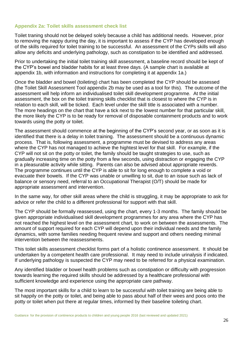#### **Appendix 2a: Toilet skills assessment check list**

Toilet traning should not be delayed solely because a child has additional needs. However, prior to removing the nappy during the day, it is important to assess if the CYP has developed enough of the skills required for toilet training to be successful. An assessment of the CYPs skills will also allow any deficits and underlying pathology, such as constipation to be identified and addressed.

Prior to undertaking the initial toilet training skill assessment, a baseline record should be kept of the CYP's bowel and bladder habits for at least three days. (A sample chart is available at appendix 1b, with information and instructions for completing it at appendix 1a.)

Once the bladder and bowel (toileting) chart has been completed the CYP should be assessed (the Toilet Skill Assessment Tool appendix 2b may be used as a tool for this). The outcome of the assessment will help inform an individualised toilet skill development programme. At the initial assessment, the box on the toilet training skills checklist that is closest to where the CYP is in relation to each skill, will be ticked. Each level under the skill title is associated with a number. The more headings on the chart that have a tick next to the lowest number for that particular skill, the more likely the CYP is to be ready for removal of disposable containment products and to work towards using the potty or toilet.

The assessment should commence at the beginning of the CYP's second year, or as soon as it is identified that there is a delay in toilet training. The assessment should be a continuous dynamic process. That is, following assessment, a programme must be devised to address any areas where the CYP has not managed to achieve the hightest level for that skill. For example, if the CYP will not sit on the potty or toilet, the family should be taught strategies to use, such as gradually increasing time on the potty from a few seconds, using distraction or engaging the CYP in a pleasurable activity while sitting. Parents can also be advised about appropriate rewerds. The programme continues until the CYP is able to sit for long enough to complete a void or evacuate their bowels. If the CYP was unable or unwilling to sit, due to an issue such as lack of balance or sensory need, referral to an Occupational Therapist (O/T) should be made for appropriate assessment and intervention.

In the same way, for other skill areas where the child is struggling, it may be appropriate to ask for advice or refer the child to a different professional for support with that skill.

The CYP should be formally reassessed, using the chart, every 1-3 months. The family should be given appropriate individualised skill development programmes for any area where the CYP has not reached the highest level on the assessment chart, to work on between the assessments. The amount of support required for each CYP will depend upon their individual needs and the family dynamics, with some families needing frequent review and support and others needing minimal intervention between the reassessments.

This toilet skills assessment checklist forms part of a holistic continence assessment. It should be undertaken by a competent health care professional. It may need to include urinalysis if indicated. If underlying pathology is suspected the CYP may need to be referred for a physical examination.

Any identified bladder or bowel health problems such as constipation or difficulty with progression towards learning the required skills should be addressed by a healthcare professional with sufficient knowledge and experience using the appropriate care pathway.

The most important skills for a child to learn to be successful with toilet training are being able to sit happily on the potty or toilet, and being able to pass about half of their wees and poos onto the potty or toilet when put there at regular times, informed by their baseline toileting chart.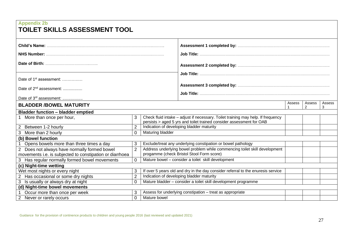| <b>Appendix 2b</b><br>TOILET SKILLS ASSESSMENT TOOL      |                                                                                  |                                           |                                                                                                                                                          |        |             |             |
|----------------------------------------------------------|----------------------------------------------------------------------------------|-------------------------------------------|----------------------------------------------------------------------------------------------------------------------------------------------------------|--------|-------------|-------------|
|                                                          |                                                                                  |                                           |                                                                                                                                                          |        |             |             |
|                                                          |                                                                                  |                                           |                                                                                                                                                          |        |             |             |
|                                                          |                                                                                  |                                           |                                                                                                                                                          |        |             |             |
|                                                          |                                                                                  |                                           |                                                                                                                                                          |        |             |             |
|                                                          |                                                                                  |                                           |                                                                                                                                                          |        |             |             |
| Date of $1st$ assessment:                                |                                                                                  |                                           |                                                                                                                                                          |        |             |             |
| Date of $2^{nd}$ assessment:                             |                                                                                  |                                           |                                                                                                                                                          |        |             |             |
| Date of 3rd assessment:                                  |                                                                                  |                                           |                                                                                                                                                          |        |             |             |
| <b>BLADDER /BOWEL MATURITY</b>                           |                                                                                  |                                           |                                                                                                                                                          | Assess | Assess<br>2 | Assess<br>3 |
| <b>Bladder function - bladder emptied</b>                |                                                                                  |                                           |                                                                                                                                                          |        |             |             |
| More than once per hour,                                 | 3                                                                                |                                           | Check fluid intake - adjust if necessary. Toilet training may help. If frequency<br>persists > aged 5 yrs and toilet trained consider assessment for OAB |        |             |             |
| 2 Between 1-2 hourly                                     | $\overline{2}$                                                                   |                                           | Indication of developing bladder maturity                                                                                                                |        |             |             |
| 3 More than 2 hourly                                     | $\overline{0}$                                                                   | Maturing bladder                          |                                                                                                                                                          |        |             |             |
| (b) Bowel function                                       |                                                                                  |                                           |                                                                                                                                                          |        |             |             |
| Opens bowels more than three times a day                 | 3                                                                                |                                           | Exclude/treat any underlying constipation or bowel pathology                                                                                             |        |             |             |
| 2 Does not always have normally formed bowel             | $\overline{2}$                                                                   |                                           | Address underlying bowel problem while commencing toilet skill development                                                                               |        |             |             |
| movements i.e. is subjected to constipation or diarrhoea |                                                                                  | progamme (check Bristol Stool Form score) |                                                                                                                                                          |        |             |             |
| 3 Has regular normally formed bowel movements            | Mature bowel - consider a toilet skill development<br>$\overline{0}$             |                                           |                                                                                                                                                          |        |             |             |
| (c) Night-time wetting                                   |                                                                                  |                                           |                                                                                                                                                          |        |             |             |
| Wet most nights or every night                           | 3                                                                                |                                           | If over 5 years old and dry in the day consider referral to the enuresis service                                                                         |        |             |             |
| 2 Has occasional or some dry nights                      | $\overline{2}$                                                                   | Indication of developing bladder maturity |                                                                                                                                                          |        |             |             |
| Is usually or always dry at night<br>3                   | Mature bladder - consider a toilet skill development programme<br>$\overline{0}$ |                                           |                                                                                                                                                          |        |             |             |
| (d) Night-time bowel movements                           |                                                                                  |                                           |                                                                                                                                                          |        |             |             |
| Occur more than once per week                            | 3                                                                                |                                           | Assess for underlying constipation - treat as appropriate                                                                                                |        |             |             |
| 2 Never or rarely occurs                                 | $\overline{0}$                                                                   | Mature bowel                              |                                                                                                                                                          |        |             |             |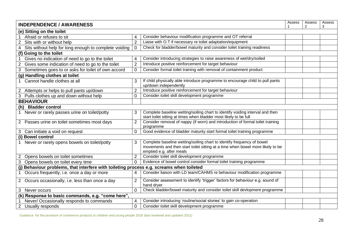| Assess<br><b>INDEPENDENCE / AWARENESS</b>                                                |                |                                                                                                                                                                                      |  |  |  |  |  |  |
|------------------------------------------------------------------------------------------|----------------|--------------------------------------------------------------------------------------------------------------------------------------------------------------------------------------|--|--|--|--|--|--|
| $\mathcal{P}$<br>3<br>(e) Sitting on the toilet                                          |                |                                                                                                                                                                                      |  |  |  |  |  |  |
| Afraid or refuses to sit                                                                 |                | Consider behaviour modification programme and OT referral                                                                                                                            |  |  |  |  |  |  |
| Sits with or without help<br>2                                                           | $\overline{2}$ | Liaise with O.T if necessary re toilet adaptation/equipment                                                                                                                          |  |  |  |  |  |  |
| Sits without help for long enough to complete voiding<br>4                               | $\mathbf 0$    | Check for bladder/bowel maturity and consider toilet training readiness                                                                                                              |  |  |  |  |  |  |
| (f) Going to the toilet                                                                  |                |                                                                                                                                                                                      |  |  |  |  |  |  |
| Gives no indication of need to go to the toilet                                          |                | Consider introducing strategies to raise awareness of wet/dry/soiled                                                                                                                 |  |  |  |  |  |  |
| Gives some indication of need to go to the toilet<br>2                                   | $\overline{2}$ | Introduce positive reinforcement for target behaviour                                                                                                                                |  |  |  |  |  |  |
| Sometimes goes to or asks for toilet of own accord<br>3                                  | $\overline{0}$ | Consider formal toilet training with removal of containment product                                                                                                                  |  |  |  |  |  |  |
| (g) Handling clothes at toilet                                                           |                |                                                                                                                                                                                      |  |  |  |  |  |  |
| Cannot handle clothes at all                                                             |                | If child physically able introduce programme to encourage child to pull pants<br>up/down independently                                                                               |  |  |  |  |  |  |
| 2 Attempts or helps to pull pants up/down                                                | 2              | Introduce positive reinforcement for target behaviour                                                                                                                                |  |  |  |  |  |  |
| Pulls clothes up and down without help<br>3                                              | $\Omega$       | Consider toilet skill development programme                                                                                                                                          |  |  |  |  |  |  |
| <b>BEHAVIOUR</b>                                                                         |                |                                                                                                                                                                                      |  |  |  |  |  |  |
| (h) Bladder control                                                                      |                |                                                                                                                                                                                      |  |  |  |  |  |  |
| 1 Never or rarely passes urine on toilet/potty                                           | 3              | Complete baseline wetting/soiling chart to identify voiding interval and then<br>start toilet sitting at times when bladder most likely to be full                                   |  |  |  |  |  |  |
| 2 Passes urine on toilet sometimes most days                                             | $\overline{2}$ | Consider removal of nappy (if worn) and introduction of formal toilet training<br>programme                                                                                          |  |  |  |  |  |  |
| 3 Can initiate a void on request                                                         | $\overline{0}$ | Good evidence of bladder maturity start formal toilet training programme                                                                                                             |  |  |  |  |  |  |
| (i) Bowel control                                                                        |                |                                                                                                                                                                                      |  |  |  |  |  |  |
| Never or rarely opens bowels on toilet/potty<br>$\mathbf{1}$                             | 3              | Complete baseline wetting/soiling chart to identify frequency of bowel<br>movements and then start toilet sitting at a time when bowel more likely to be<br>emptied e.g. after meals |  |  |  |  |  |  |
| Opens bowels on toilet sometimes<br>$\overline{2}$                                       | $\overline{2}$ | Consider toilet skill development programme                                                                                                                                          |  |  |  |  |  |  |
| Opens bowels on toilet every time<br>$\mathbf{3}$                                        | $\Omega$       | Evidence of bowel control consider formal toilet training programme                                                                                                                  |  |  |  |  |  |  |
| (j) Behaviour problems, that interfere with toileting process e.g. screams when toileted |                |                                                                                                                                                                                      |  |  |  |  |  |  |
| Occurs frequently, i.e. once a day or more<br>1                                          | 4              | Consider liaison with LD team/CAHMS re behaviour modification programme                                                                                                              |  |  |  |  |  |  |
| 2 Occurs occasionally, i.e. less than once a day                                         | $\overline{2}$ | Consider assessment to identify 'trigger' factors for behaviour e.g. sound of<br>hand dryer                                                                                          |  |  |  |  |  |  |
| 3 Never occurs                                                                           | $\overline{0}$ | Check bladder/bowel maturity and consider toilet skill devlopment programme                                                                                                          |  |  |  |  |  |  |
| (k) Response to basic commands, e.g. "come here",                                        |                |                                                                                                                                                                                      |  |  |  |  |  |  |
| Never/Occasionally responds to commands                                                  | 4              | Consider introducing 'routine/social stories' to gain co-operation                                                                                                                   |  |  |  |  |  |  |
| 2 Usually responds                                                                       | $\mathbf 0$    | Consider toilet skill development programme                                                                                                                                          |  |  |  |  |  |  |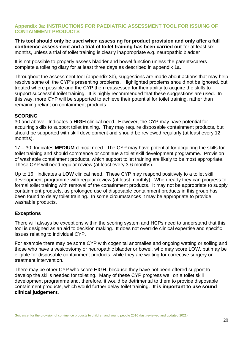#### **Appendix 3a: INSTRUCTIONS FOR PAEDIATRIC ASSESSMENT TOOL FOR ISSUING OF CONTAINMENT PRODUCTS**

**This tool should only be used when assessing for product provision and only after a full continence assessment and a trial of toilet training has been carried out** for at least six months, unless a trial of toilet training is clearly inappropriate e.g. neuropathic bladder.

It is not possible to properly assess bladder and bowel function unless the parents/carers complete a toileting diary for at least three days as described in appendix 1a.

Throughout the assessment tool (appendix 3b), suggestions are made about actions that may help resolve some of the CYP's presenting problems. Highlighted problems should not be ignored, but treated where possible and the CYP then reassessed for their ability to acquire the skills to support successful toilet training. It is highly recommended that these suggestions are used. In this way, more CYP will be supported to achieve their potential for toilet training, rather than remaining reliant on containment products.

#### **SCORING**

30 and above: Indicates a **HIGH** clinical need. However, the CYP may have potential for acquiring skills to support toilet training. They may require disposable containment products, but should be supported with skill development and should be reviewed regularly (at least every 12 months).

17 – 30: Indicates **MEDIUM** clinical need. The CYP may have potential for acquiring the skills for toilet training and should commence or continue a toilet skill development programme. Provision of washable containment products, which support toilet training are likely to be most appropriate. These CYP will need regular review (at least every 3-6 months).

Up to 16: Indicates a **LOW** clinical need. These CYP may respond positively to a toilet skill development programme with regular review (at least monthly). When ready they can progress to formal toilet training with removal of the conatinment products. It may not be appropriate to supply containment products, as prolonged use of disposable containment products in this group has been found to delay toilet training. In some circumstances it may be appropriate to provide washable products.

#### **Exceptions**

There will always be exceptions within the scoring system and HCPs need to understand that this tool is designed as an aid to decision making. It does not override clinical expertise and specific issues relating to individual CYP.

For example there may be some CYP with cogenital anomalies and ongoing wetting or soiling and those who have a vesicostomy or neuropathic bladder or bowel, who may score LOW, but may be eligible for disposable containment products, while they are waiting for corrective surgery or treatment intervention.

There may be other CYP who score HIGH, because they have not been offered support to develop the skills needed for toileting. Many of these CYP progress well on a toilet skill development programme and, therefore, it would be detrimental to them to provide disposable containment products, which would further delay toilet training. **It is important to use sound clinical judgement.**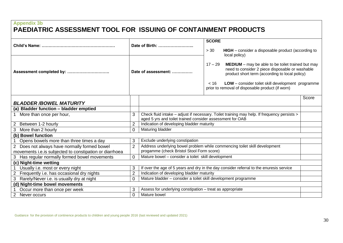## **Appendix 3b PAEDIATRIC ASSESSMENT TOOL FOR ISSUING OF CONTAINMENT PRODUCTS**

|                                                                                                          |                     | Date of Birth:                                                                                                          | <b>SCORE</b>              |                                                                                                                                                                                                                                                                                                                                               |       |
|----------------------------------------------------------------------------------------------------------|---------------------|-------------------------------------------------------------------------------------------------------------------------|---------------------------|-----------------------------------------------------------------------------------------------------------------------------------------------------------------------------------------------------------------------------------------------------------------------------------------------------------------------------------------------|-------|
| Assessment completed by:                                                                                 | Date of assessment: |                                                                                                                         | > 30<br>$17 - 29$<br>< 16 | HIGH - consider a disposable product (according to<br>local policy)<br><b>MEDIUM</b> – may be able to be toilet trained but may<br>need to consider 2 piece disposable or washable<br>product short term (according to local policy)<br>LOW - consider toilet skill development programme<br>prior to removal of disposable product (if worn) |       |
| <b>BLADDER/BOWEL MATURITY</b>                                                                            |                     |                                                                                                                         |                           |                                                                                                                                                                                                                                                                                                                                               | Score |
| (a) Bladder function - bladder emptied                                                                   |                     |                                                                                                                         |                           |                                                                                                                                                                                                                                                                                                                                               |       |
| More than once per hour,                                                                                 | 3                   | aged 5 yrs and toilet trained consider assessment for OAB                                                               |                           | Check fluid intake - adjust if necessary. Toilet training may help. If frequency persists >                                                                                                                                                                                                                                                   |       |
| Between 1-2 hourly<br>2                                                                                  | $\overline{2}$      | Indication of developing bladder maturity                                                                               |                           |                                                                                                                                                                                                                                                                                                                                               |       |
| More than 2 hourly<br>3                                                                                  | $\Omega$            | Maturing bladder                                                                                                        |                           |                                                                                                                                                                                                                                                                                                                                               |       |
| (b) Bowel function                                                                                       |                     |                                                                                                                         |                           |                                                                                                                                                                                                                                                                                                                                               |       |
| Opens bowels more than three times a day                                                                 | 3                   | Exclude underlying constipation                                                                                         |                           |                                                                                                                                                                                                                                                                                                                                               |       |
| 2 Does not always have normally formed bowel<br>movements i.e. is subjected to constipation or diarrhoea | $\overline{2}$      | Address underlying bowel problem while commencing toilet skill development<br>progamme (check Bristol Stool Form score) |                           |                                                                                                                                                                                                                                                                                                                                               |       |
| 3 Has regular normally formed bowel movements                                                            | $\Omega$            | Mature bowel - consider a toilet skill development                                                                      |                           |                                                                                                                                                                                                                                                                                                                                               |       |
| (c) Night-time wetting                                                                                   |                     |                                                                                                                         |                           |                                                                                                                                                                                                                                                                                                                                               |       |
| Usually i.e. most or every night                                                                         | 3                   |                                                                                                                         |                           | If over the age of 5 years and dry in the day consider referral to the enuresis service                                                                                                                                                                                                                                                       |       |
| Frequently i.e. has occasional dry nights                                                                | $\overline{2}$      | Indication of developing bladder maturity                                                                               |                           |                                                                                                                                                                                                                                                                                                                                               |       |
| Rarely/Never i.e. is usually dry at night<br>3                                                           | $\Omega$            | Mature bladder - consider a toilet skill development programme                                                          |                           |                                                                                                                                                                                                                                                                                                                                               |       |
| (d) Night-time bowel movements                                                                           |                     |                                                                                                                         |                           |                                                                                                                                                                                                                                                                                                                                               |       |
| Occur more than once per week                                                                            | 3                   | Assess for underlying constipation - treat as appropriate                                                               |                           |                                                                                                                                                                                                                                                                                                                                               |       |
| Never occurs                                                                                             | 0                   | Mature bowel                                                                                                            |                           |                                                                                                                                                                                                                                                                                                                                               |       |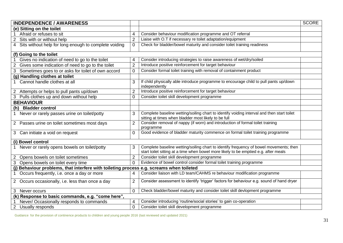| <b>INDEPENDENCE / AWARENESS</b>                                                          |                |                                                                                                                                                                                | <b>SCORE</b> |
|------------------------------------------------------------------------------------------|----------------|--------------------------------------------------------------------------------------------------------------------------------------------------------------------------------|--------------|
| (e) Sitting on the toilet                                                                |                |                                                                                                                                                                                |              |
| Afraid or refuses to sit                                                                 | 4              | Consider behaviour modification programme and OT referral                                                                                                                      |              |
| 2 Sits with or without help                                                              | $\overline{2}$ | Liaise with O.T if necessary re toilet adaptation/equipment                                                                                                                    |              |
| 4 Sits without help for long enough to complete voiding                                  | 0              | Check for bladder/bowel maturity and consider toilet training readiness                                                                                                        |              |
| (f) Going to the toilet                                                                  |                |                                                                                                                                                                                |              |
| Gives no indication of need to go to the toilet                                          | 4              | Consider introducing strategies to raise awareness of wet/dry/soiled                                                                                                           |              |
| Gives some indication of need to go to the toilet<br>$\overline{c}$                      | $\overline{2}$ | Introduce positive reinforcement for target behaviour                                                                                                                          |              |
| Sometimes goes to or asks for toilet of own accord<br>3                                  | $\overline{0}$ | Consider formal toilet training with removal of containment product                                                                                                            |              |
| (g) Handling clothes at toilet                                                           |                |                                                                                                                                                                                |              |
| Cannot handle clothes at all                                                             | 3              | If child physically able introduce programme to encourage child to pull pants up/down<br>independently                                                                         |              |
| 2 Attempts or helps to pull pants up/down                                                | $\overline{2}$ | Introduce positive reinforcement for target behaviour                                                                                                                          |              |
| 3 Pulls clothes up and down without help                                                 | $\Omega$       | Consider toilet skill development programme                                                                                                                                    |              |
| <b>BEHAVIOUR</b>                                                                         |                |                                                                                                                                                                                |              |
| (h) Bladder control                                                                      |                |                                                                                                                                                                                |              |
| 1 Never or rarely passes urine on toilet/potty                                           | 3              | Complete baseline wetting/soiling chart to identify voiding interval and then start toilet<br>sitting at times when bladder most likely to be full                             |              |
| 2 Passes urine on toilet sometimes most days                                             | $\overline{2}$ | Consider removal of nappy (if worn) and introduction of formal toilet training<br>programme                                                                                    |              |
| 3 Can initiate a void on request                                                         | 0              | Good evidence of bladder maturity commence on formal toilet training programme                                                                                                 |              |
| (i) Bowel control                                                                        |                |                                                                                                                                                                                |              |
| Never or rarely opens bowels on toilet/potty                                             | 3              | Complete baseline wetting/soiling chart to identify frequency of bowel movements; then<br>start toilet sitting at a time when bowel more likely to be emptied e.g. after meals |              |
| 2 Opens bowels on toilet sometimes                                                       | $\overline{2}$ | Consider toilet skill development programme                                                                                                                                    |              |
| Opens bowels on toilet every time                                                        | $\Omega$       | Evidence of bowel control consider formal toilet training programme                                                                                                            |              |
| (j) Behaviour problems, that interfere with toileting process e.g. screams when toileted |                |                                                                                                                                                                                |              |
| Occurs frequently, i.e. once a day or more<br>1                                          | 4              | Consider liaison with LD team/CAHMS re behaviour modification programme                                                                                                        |              |
| 2 Occurs occasionally, i.e. less than once a day                                         | 2              | Consider assessment to identify 'trigger' factors for behaviour e.g. sound of hand dryer                                                                                       |              |
| 3 Never occurs                                                                           | 0              | Check bladder/bowel maturity and consider toilet skill devlopment programme                                                                                                    |              |
| (k) Response to basic commands, e.g. "come here",                                        |                |                                                                                                                                                                                |              |
| Never/ Occasionally responds to commands                                                 | 4              | Consider introducing 'routine/social stories' to gain co-operation                                                                                                             |              |
| $\overline{2}$<br>Usually responds                                                       | $\overline{0}$ | Consider toilet skill development programme                                                                                                                                    |              |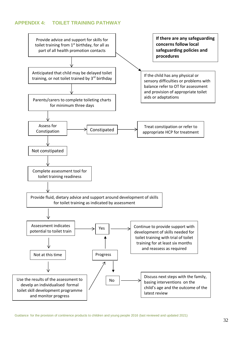#### **APPENDIX 4: TOILET TRAINING PATHWAY**

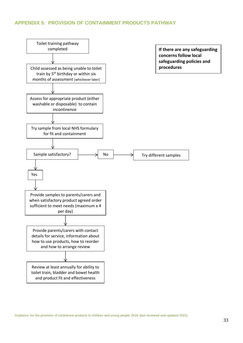#### **APPENDIX 5: PROVISION OF CONTAINMENT PRODUCTS PATHWAY**

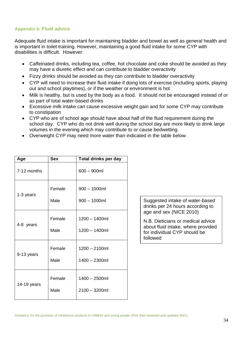#### **Appendix 6: Fluid advice**

Adequate fluid intake is important for maintaining bladder and bowel as well as general health and is important in toilet training. However, maintaining a good fluid intake for some CYP with disabilities is difficult. However:

- Caffeinated drinks, including tea, coffee, hot chocolate and coke should be avoided as they may have a diuretic effect and can contribute to bladder overactivity
- Fizzy drinks should be avoided as they can contribute to bladder overactivity
- CYP will need to increase their fluid intake if doing lots of exercise (including sports, playing out and school playtimes), or if the weather or environment is hot
- Milk is healthy, but is used by the body as a food. It should not be encouraged instead of or as part of total water-based drinks
- Excessive milk intake can cause excessive weight gain and for some CYP may contribute to constipation
- CYP who are of school age should have about half of the fluid requirement during the school day. CYP who do not drink well during the school day are more likely to drink large volumes in the evening which may contribute to or cause bedwetting.
- Overweight CYP may need more water than indicated in the table below.

| Age         | <b>Sex</b>     | Total drinks per day                 |
|-------------|----------------|--------------------------------------|
| 7-12 months |                | $600 - 900$ ml                       |
| 1-3 years   | Female<br>Male | $900 - 1000$ ml<br>$900 - 1000$ ml   |
| 4-8 years   | Female<br>Male | $1200 - 1400$ ml<br>$1200 - 1400$ ml |
| 9-13 years  | Female<br>Male | $1200 - 2100$ ml<br>1400 - 2300ml    |
| 14-19 years | Female<br>Male | $1400 - 2500$ ml<br>$2100 - 3200$ ml |

Suggested intake of water-based drinks per 24 hours according to age and sex (NICE 2010)

N.B. Dieticians or medical advice about fluid intake, where provided for individual CYP should be followed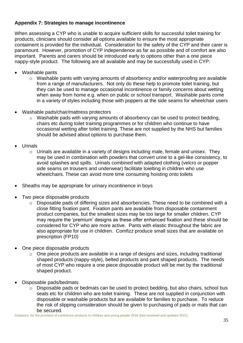#### **Appendix 7: Strategies to manage incontinence**

When assessing a CYP who is unable to acquire sufficient skills for successful toilet training for products, clinicians should consider all options available to ensure the most appropriate contaiment is provided for the individual. Consideration for the safety of the CYP and their carer is paramount. However, promotion of CYP independence as far as possible and of comfort are also important. Parents and carers should be introduced early to options other than a one piece nappy-style product. The following are all available and may be successfully used in CYP:

- Washable pants
	- o Washable pants with varying amounts of absorbency and/or waterproofing are available from a range of manufacturers. Not only do these help to promote toilet training, but they can be used to manage occasional incontinence or family concerns about wetting when away from home e.g. when on public or school transport. Washable pants come in a variety of styles including those with poppers at the side seams for wheelchair users
- Washable pads/chair/mattress protectors
	- o Washable pads with varying amounts of absorbency can be used to protect bedding, chairs etc during toilet training programmes or for children who continue to have occasional wetting after toilet training. These are not supplied by the NHS but families should be advised about options to purchase them.
- Urinals
	- $\circ$  Urinals are available in a variety of designs including male, female and unisex. They may be used in combination with powders that convert urine to a gel-like consistency, to avoid splashes and spills. Urinals combined with adapted clothing (velcro or popper side seams on trousers and underwear) facilitate toielting in children who use wheelchairs. These can avoid more time consuming hoisting onto toilets
- Sheaths may be appropriate for urinary incontinence in boys
- Two piece disposable products
	- $\circ$  Disposable pads of differing sizes and absorbencies. These need to be combined with a close fitting fixation pant. Fixation pants are available from disposable containment product companies, but the smallest sizes may be too large for smaller children. CYP may require the 'premium' designs as these offer enhanced fixation and these should be considered for CYP who are more active. Pants with elastic throughout the fabric are also appropriate for use in children. Comfizz produce small sizes that are available on prescription (FP10)
- One piece disposable products
	- o One piece products are available in a range of designs and sizes, including traditional shaped products (nappy-style), belted products and pant shaped products. The needs of most CYP who require a one piece disposable product will be met by the traditional shaped product.
- Disposable pads/bedmats
	- $\circ$  Disposable pads or bedmats can be used to protect bedding, but also chairs, school bus seats etc for children who are toilet training. These are not supplied in conjunction with disposable or washable products but are available for families to purchase. To reduce the risk of slipping consideration should be given to purchasing of pads or mats that can be secured.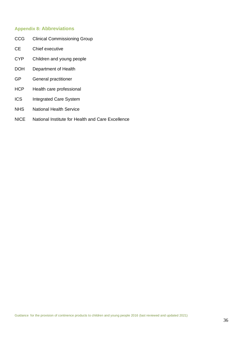#### **Appendix 8: Abbreviations**

- CCG Clinical Commissioning Group
- CE Chief executive
- CYP Children and young people
- DOH Department of Health
- GP General practitioner
- HCP Health care professional
- ICS Integrated Care System
- NHS National Health Service
- NICE National Institute for Health and Care Excellence